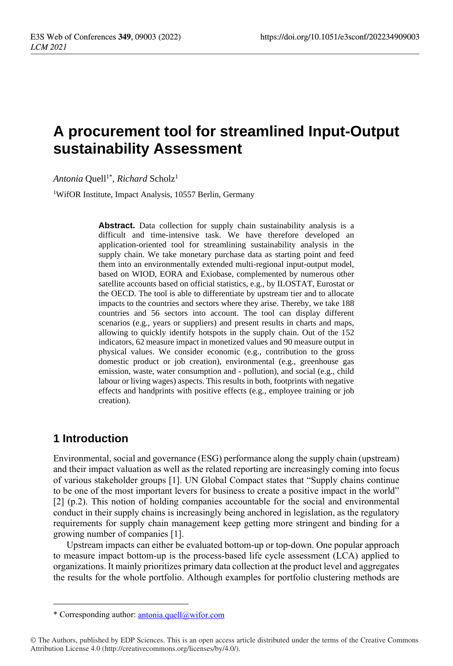# **A procurement tool for streamlined Input-Output sustainability Assessment**

 $Antonia$  Quell<sup>1\*</sup>, *Richard* Scholz<sup>1</sup>

<sup>1</sup>WifOR Institute, Impact Analysis, 10557 Berlin, Germany

**Abstract.** Data collection for supply chain sustainability analysis is a difficult and time-intensive task. We have therefore developed an application-oriented tool for streamlining sustainability analysis in the supply chain. We take monetary purchase data as starting point and feed them into an environmentally extended multi-regional input-output model, based on WIOD, EORA and Exiobase, complemented by numerous other satellite accounts based on official statistics, e.g., by ILOSTAT, Eurostat or the OECD. The tool is able to differentiate by upstream tier and to allocate impacts to the countries and sectors where they arise. Thereby, we take 188 countries and 56 sectors into account. The tool can display different scenarios (e.g., years or suppliers) and present results in charts and maps, allowing to quickly identify hotspots in the supply chain. Out of the 152 indicators, 62 measure impact in monetized values and 90 measure output in physical values. We consider economic (e.g., contribution to the gross domestic product or job creation), environmental (e.g., greenhouse gas emission, waste, water consumption and - pollution), and social (e.g., child labour or living wages) aspects. This results in both, footprints with negative effects and handprints with positive effects (e.g., employee training or job creation).

## **1 Introduction**

Environmental, social and governance (ESG) performance along the supply chain (upstream) and their impact valuation as well as the related reporting are increasingly coming into focus of various stakeholder groups [1]. UN Global Compact states that "Supply chains continue to be one of the most important levers for business to create a positive impact in the world" [2] (p.2). This notion of holding companies accountable for the social and environmental conduct in their supply chains is increasingly being anchored in legislation, as the regulatory requirements for supply chain management keep getting more stringent and binding for a growing number of companies [1].

Upstream impacts can either be evaluated bottom-up or top-down. One popular approach to measure impact bottom-up is the process-based life cycle assessment (LCA) applied to organizations. It mainly prioritizes primary data collection at the product level and aggregates the results for the whole portfolio. Although examples for portfolio clustering methods are

<sup>\*</sup> Corresponding author: [antonia.quell@wifor.com](mailto:antonia.quell@wifor.com)

<sup>©</sup> The Authors, published by EDP Sciences. This is an open access article distributed under the terms of the Creative Commons Attribution License 4.0 (http://creativecommons.org/licenses/by/4.0/).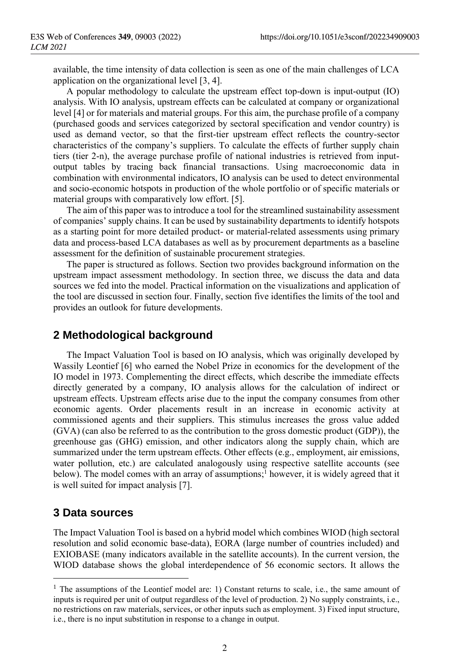available, the time intensity of data collection is seen as one of the main challenges of LCA application on the organizational level [3, 4].

A popular methodology to calculate the upstream effect top-down is input-output (IO) analysis. With IO analysis, upstream effects can be calculated at company or organizational level [4] or for materials and material groups. For this aim, the purchase profile of a company (purchased goods and services categorized by sectoral specification and vendor country) is used as demand vector, so that the first-tier upstream effect reflects the country-sector characteristics of the company's suppliers. To calculate the effects of further supply chain tiers (tier 2-n), the average purchase profile of national industries is retrieved from inputoutput tables by tracing back financial transactions. Using macroeconomic data in combination with environmental indicators, IO analysis can be used to detect environmental and socio-economic hotspots in production of the whole portfolio or of specific materials or material groups with comparatively low effort. [5].

The aim of this paper was to introduce a tool for the streamlined sustainability assessment of companies' supply chains. It can be used by sustainability departments to identify hotspots as a starting point for more detailed product- or material-related assessments using primary data and process-based LCA databases as well as by procurement departments as a baseline assessment for the definition of sustainable procurement strategies.

The paper is structured as follows. Section two provides background information on the upstream impact assessment methodology. In section three, we discuss the data and data sources we fed into the model. Practical information on the visualizations and application of the tool are discussed in section four. Finally, section five identifies the limits of the tool and provides an outlook for future developments.

### **2 Methodological background**

The Impact Valuation Tool is based on IO analysis, which was originally developed by Wassily Leontief [6] who earned the Nobel Prize in economics for the development of the IO model in 1973. Complementing the direct effects, which describe the immediate effects directly generated by a company, IO analysis allows for the calculation of indirect or upstream effects. Upstream effects arise due to the input the company consumes from other economic agents. Order placements result in an increase in economic activity at commissioned agents and their suppliers. This stimulus increases the gross value added (GVA) (can also be referred to as the contribution to the gross domestic product (GDP)), the greenhouse gas (GHG) emission, and other indicators along the supply chain, which are summarized under the term upstream effects. Other effects (e.g., employment, air emissions, water pollution, etc.) are calculated analogously using respective satellite accounts (see below). The model comes with an array of assumptions; <sup>1</sup> however, it is widely agreed that it is well suited for impact analysis [7].

#### **3 Data sources**

The Impact Valuation Tool is based on a hybrid model which combines WIOD (high sectoral resolution and solid economic base-data), EORA (large number of countries included) and EXIOBASE (many indicators available in the satellite accounts). In the current version, the WIOD database shows the global interdependence of 56 economic sectors. It allows the

<sup>&</sup>lt;sup>1</sup> The assumptions of the Leontief model are: 1) Constant returns to scale, i.e., the same amount of inputs is required per unit of output regardless of the level of production. 2) No supply constraints, i.e., no restrictions on raw materials, services, or other inputs such as employment. 3) Fixed input structure, i.e., there is no input substitution in response to a change in output.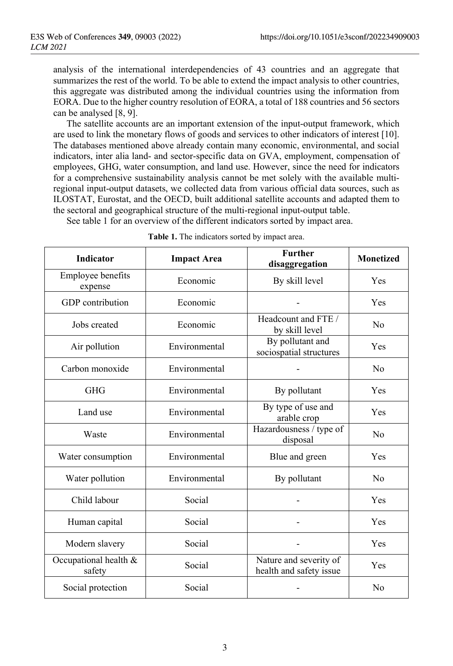analysis of the international interdependencies of 43 countries and an aggregate that summarizes the rest of the world. To be able to extend the impact analysis to other countries, this aggregate was distributed among the individual countries using the information from EORA. Due to the higher country resolution of EORA, a total of 188 countries and 56 sectors can be analysed [8, 9].

The satellite accounts are an important extension of the input-output framework, which are used to link the monetary flows of goods and services to other indicators of interest [10]. The databases mentioned above already contain many economic, environmental, and social indicators, inter alia land- and sector-specific data on GVA, employment, compensation of employees, GHG, water consumption, and land use. However, since the need for indicators for a comprehensive sustainability analysis cannot be met solely with the available multiregional input-output datasets, we collected data from various official data sources, such as ILOSTAT, Eurostat, and the OECD, built additional satellite accounts and adapted them to the sectoral and geographical structure of the multi-regional input-output table.

See table 1 for an overview of the different indicators sorted by impact area.

| Indicator                       | <b>Impact Area</b> | <b>Further</b><br>disaggregation                  | <b>Monetized</b> |
|---------------------------------|--------------------|---------------------------------------------------|------------------|
| Employee benefits<br>expense    | Economic           | By skill level                                    | Yes              |
| GDP contribution                | Economic           |                                                   | Yes              |
| Jobs created                    | Economic           | Headcount and FTE /<br>by skill level             | No               |
| Air pollution                   | Environmental      | By pollutant and<br>sociospatial structures       | Yes              |
| Carbon monoxide                 | Environmental      |                                                   | N <sub>0</sub>   |
| <b>GHG</b>                      | Environmental      | By pollutant                                      | Yes              |
| Land use                        | Environmental      | By type of use and<br>arable crop                 | Yes              |
| Waste                           | Environmental      | Hazardousness / type of<br>disposal               | N <sub>0</sub>   |
| Water consumption               | Environmental      | Blue and green                                    | Yes              |
| Water pollution                 | Environmental      | By pollutant                                      | N <sub>0</sub>   |
| Child labour                    | Social             |                                                   | Yes              |
| Human capital                   | Social             |                                                   | Yes              |
| Modern slavery                  | Social             |                                                   | Yes              |
| Occupational health &<br>safety | Social             | Nature and severity of<br>health and safety issue | Yes              |
| Social protection               | Social             |                                                   | N <sub>0</sub>   |

**Table 1.** The indicators sorted by impact area.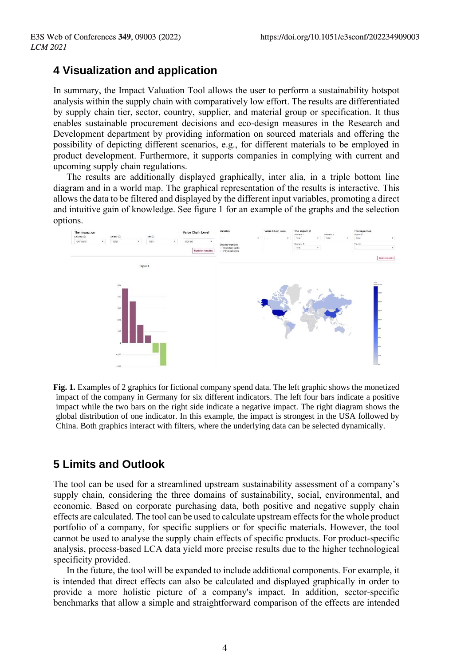## **4 Visualization and application**

In summary, the Impact Valuation Tool allows the user to perform a sustainability hotspot analysis within the supply chain with comparatively low effort. The results are differentiated by supply chain tier, sector, country, supplier, and material group or specification. It thus enables sustainable procurement decisions and eco-design measures in the Research and Development department by providing information on sourced materials and offering the possibility of depicting different scenarios, e.g., for different materials to be employed in product development. Furthermore, it supports companies in complying with current and upcoming supply chain regulations.

The results are additionally displayed graphically, inter alia, in a triple bottom line diagram and in a world map. The graphical representation of the results is interactive. This allows the data to be filtered and displayed by the different input variables, promoting a direct and intuitive gain of knowledge. See figure 1 for an example of the graphs and the selection options.



**Fig. 1.** Examples of 2 graphics for fictional company spend data. The left graphic shows the monetized impact of the company in Germany for six different indicators. The left four bars indicate a positive impact while the two bars on the right side indicate a negative impact. The right diagram shows the global distribution of one indicator. In this example, the impact is strongest in the USA followed by China. Both graphics interact with filters, where the underlying data can be selected dynamically.

## **5 Limits and Outlook**

The tool can be used for a streamlined upstream sustainability assessment of a company's supply chain, considering the three domains of sustainability, social, environmental, and economic. Based on corporate purchasing data, both positive and negative supply chain effects are calculated. The tool can be used to calculate upstream effects for the whole product portfolio of a company, for specific suppliers or for specific materials. However, the tool cannot be used to analyse the supply chain effects of specific products. For product-specific analysis, process-based LCA data yield more precise results due to the higher technological specificity provided.

In the future, the tool will be expanded to include additional components. For example, it is intended that direct effects can also be calculated and displayed graphically in order to provide a more holistic picture of a company's impact. In addition, sector-specific benchmarks that allow a simple and straightforward comparison of the effects are intended